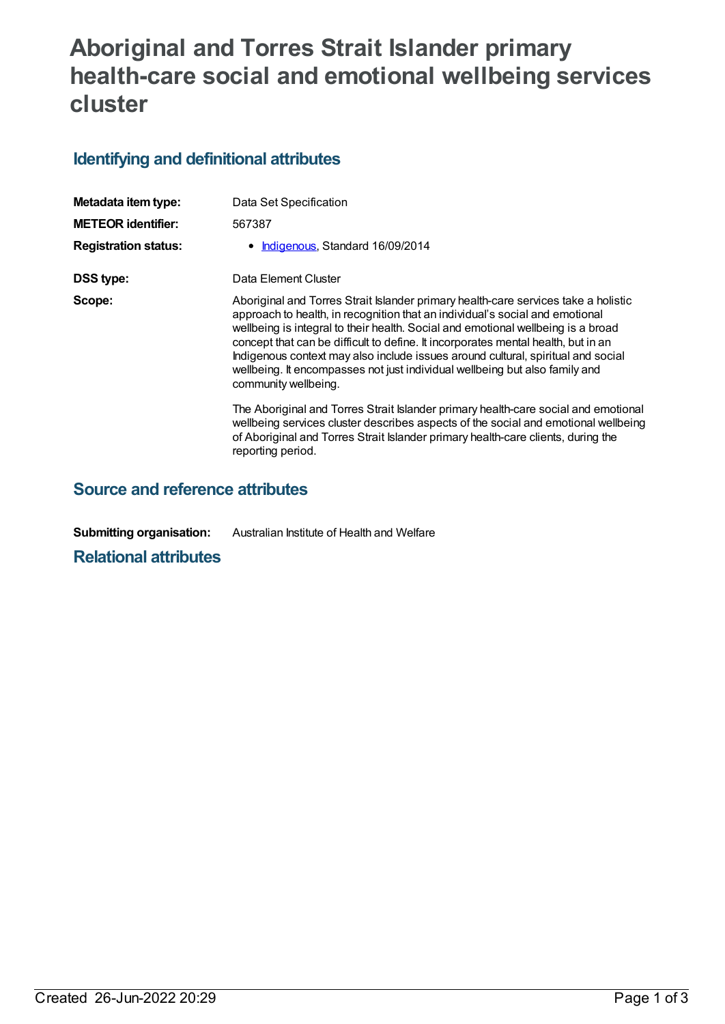## **Aboriginal and Torres Strait Islander primary health-care social and emotional wellbeing services cluster**

## **Identifying and definitional attributes**

| Metadata item type:         | Data Set Specification                                                                                                                                                                                                                                                                                                                                                                                                                                                                                                                 |
|-----------------------------|----------------------------------------------------------------------------------------------------------------------------------------------------------------------------------------------------------------------------------------------------------------------------------------------------------------------------------------------------------------------------------------------------------------------------------------------------------------------------------------------------------------------------------------|
| <b>METEOR identifier:</b>   | 567387                                                                                                                                                                                                                                                                                                                                                                                                                                                                                                                                 |
| <b>Registration status:</b> | • Indigenous, Standard 16/09/2014                                                                                                                                                                                                                                                                                                                                                                                                                                                                                                      |
| DSS type:                   | Data Element Cluster                                                                                                                                                                                                                                                                                                                                                                                                                                                                                                                   |
| Scope:                      | Aboriginal and Torres Strait Islander primary health-care services take a holistic<br>approach to health, in recognition that an individual's social and emotional<br>wellbeing is integral to their health. Social and emotional wellbeing is a broad<br>concept that can be difficult to define. It incorporates mental health, but in an<br>Indigenous context may also include issues around cultural, spiritual and social<br>wellbeing. It encompasses not just individual wellbeing but also family and<br>community wellbeing. |
|                             | The Aboriginal and Torres Strait Islander primary health-care social and emotional<br>wellbeing services cluster describes aspects of the social and emotional wellbeing<br>of Aboriginal and Torres Strait Islander primary health-care clients, during the<br>reporting period.                                                                                                                                                                                                                                                      |

## **Source and reference attributes**

**Submitting organisation:** Australian Institute of Health and Welfare

**Relational attributes**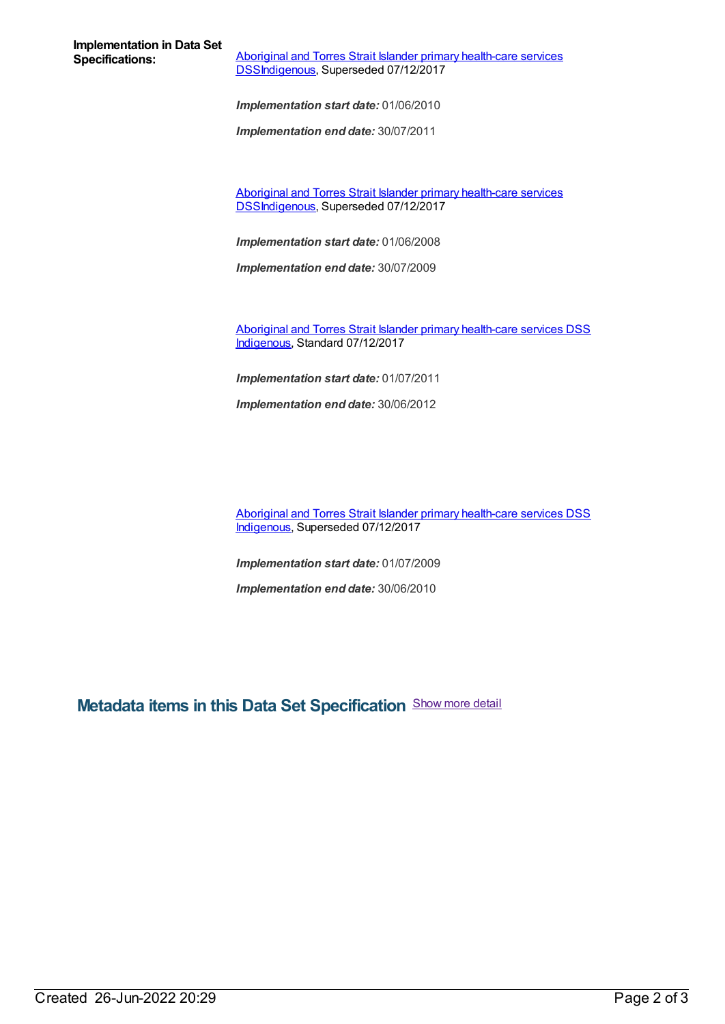**Implementation in Data Set**

**Aboriginal and Torres Strait Islander primary health-care services** [DSSIndigenous,](https://meteor.aihw.gov.au/content/561170) Superseded 07/12/2017

*Implementation start date:* 01/06/2010

*Implementation end date:* 30/07/2011

Aboriginal and Torres Strait Islander primary health-care services [DSSIndigenous,](https://meteor.aihw.gov.au/content/664757) Superseded 07/12/2017

*Implementation start date:* 01/06/2008

*Implementation end date:* 30/07/2009

Aboriginal and Torres Strait Islander primary [health-care](https://meteor.aihw.gov.au/content/664877) services DSS [Indigenous](https://meteor.aihw.gov.au/RegistrationAuthority/6), Standard 07/12/2017

*Implementation start date:* 01/07/2011

*Implementation end date:* 30/06/2012

Aboriginal and Torres Strait Islander primary [health-care](https://meteor.aihw.gov.au/content/664859) services DSS [Indigenous](https://meteor.aihw.gov.au/RegistrationAuthority/6), Superseded 07/12/2017

*Implementation start date:* 01/07/2009

*Implementation end date:* 30/06/2010

**Metadata items in this Data Set Specification** Show more detail